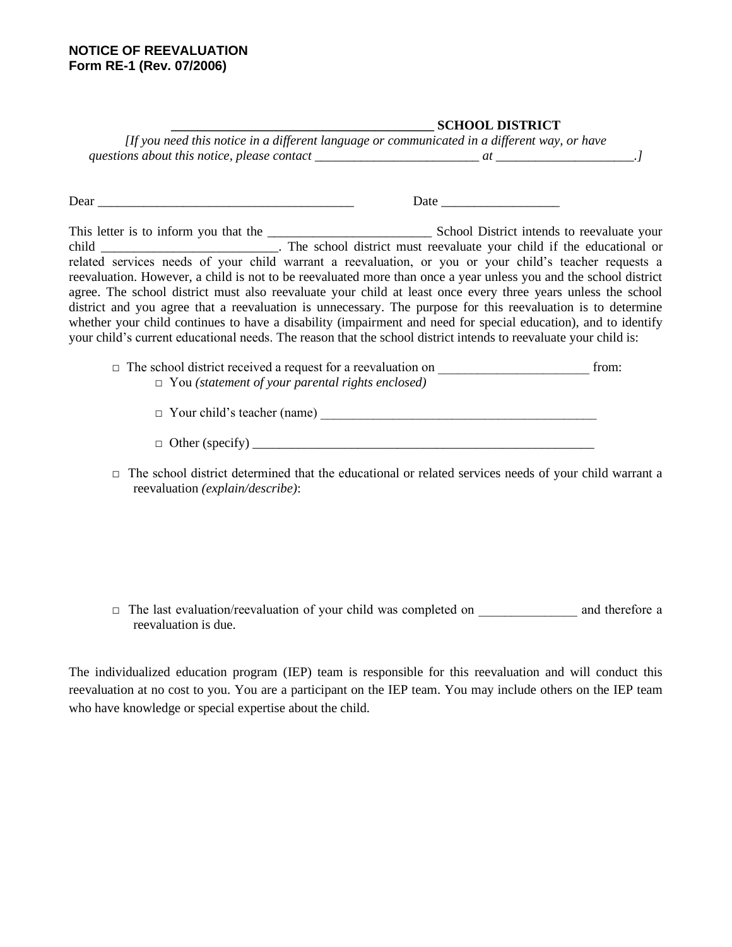## **NOTICE OF REEVALUATION Form RE-1 (Rev. 07/2006)**

## **\_\_\_\_\_\_\_\_\_\_\_\_\_\_\_\_\_\_\_\_\_\_\_\_\_\_\_\_\_\_\_\_\_\_\_\_\_\_\_\_ SCHOOL DISTRICT**

|                                             | [If you need this notice in a different language or communicated in a different way, or have |  |
|---------------------------------------------|----------------------------------------------------------------------------------------------|--|
| questions about this notice, please contact |                                                                                              |  |

Dear Date Date  $\Box$ This letter is to inform you that the School District intends to reevaluate your child \_\_\_\_\_\_\_\_\_\_\_\_\_\_\_\_\_\_\_\_\_\_\_\_. The school district must reevaluate your child if the educational or related services needs of your child warrant a reevaluation, or you or your child's teacher requests a reevaluation. However, a child is not to be reevaluated more than once a year unless you and the school district agree. The school district must also reevaluate your child at least once every three years unless the school district and you agree that a reevaluation is unnecessary. The purpose for this reevaluation is to determine whether your child continues to have a disability (impairment and need for special education), and to identify your child's current educational needs. The reason that the school district intends to reevaluate your child is:

- □ The school district received a request for a reevaluation on \_\_\_\_\_\_\_\_\_\_\_\_\_\_\_\_\_\_\_\_\_\_\_ from: □ You *(statement of your parental rights enclosed)*
	- □ Your child's teacher (name) \_\_\_\_\_\_\_\_\_\_\_\_\_\_\_\_\_\_\_\_\_\_\_\_\_\_\_\_\_\_\_\_\_\_\_\_\_\_\_\_\_\_
	- $\Box$  Other (specify)
- $\Box$  The school district determined that the educational or related services needs of your child warrant a reevaluation *(explain/describe)*:

□ The last evaluation/reevaluation of your child was completed on and therefore a reevaluation is due.

The individualized education program (IEP) team is responsible for this reevaluation and will conduct this reevaluation at no cost to you. You are a participant on the IEP team. You may include others on the IEP team who have knowledge or special expertise about the child.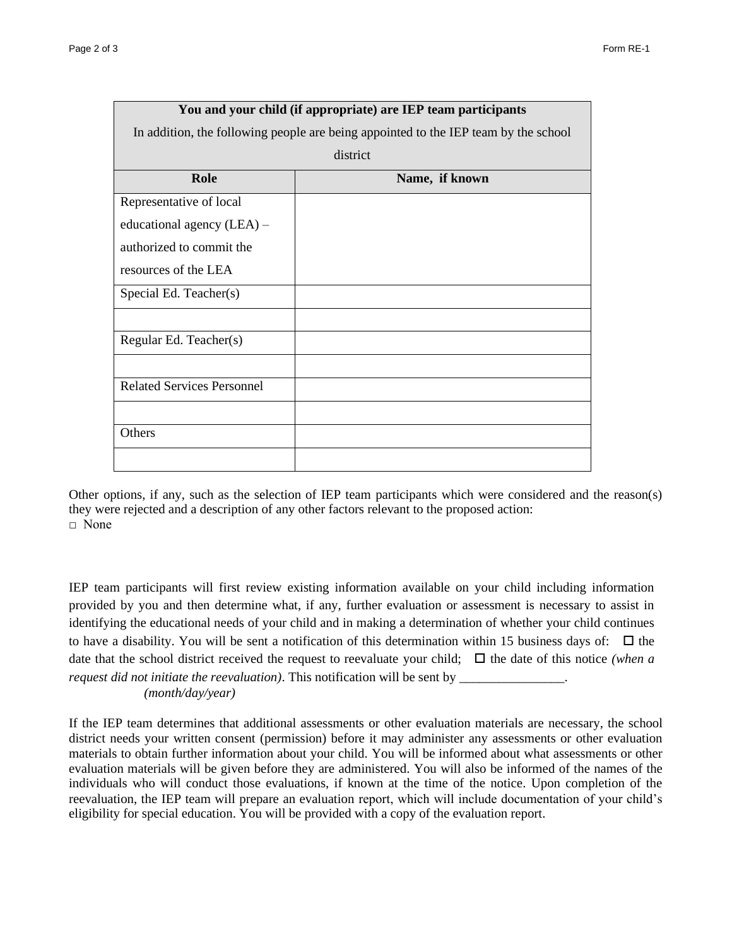|                                   | You and your child (if appropriate) are IEP team participants                       |  |  |  |
|-----------------------------------|-------------------------------------------------------------------------------------|--|--|--|
|                                   | In addition, the following people are being appointed to the IEP team by the school |  |  |  |
| district                          |                                                                                     |  |  |  |
| Role                              | Name, if known                                                                      |  |  |  |
| Representative of local           |                                                                                     |  |  |  |
| educational agency $(LEA)$ –      |                                                                                     |  |  |  |
| authorized to commit the          |                                                                                     |  |  |  |
| resources of the LEA              |                                                                                     |  |  |  |
| Special Ed. Teacher(s)            |                                                                                     |  |  |  |
|                                   |                                                                                     |  |  |  |
| Regular Ed. Teacher(s)            |                                                                                     |  |  |  |
|                                   |                                                                                     |  |  |  |
| <b>Related Services Personnel</b> |                                                                                     |  |  |  |
|                                   |                                                                                     |  |  |  |
| Others                            |                                                                                     |  |  |  |
|                                   |                                                                                     |  |  |  |

Other options, if any, such as the selection of IEP team participants which were considered and the reason(s) they were rejected and a description of any other factors relevant to the proposed action: □ None

IEP team participants will first review existing information available on your child including information provided by you and then determine what, if any, further evaluation or assessment is necessary to assist in identifying the educational needs of your child and in making a determination of whether your child continues to have a disability. You will be sent a notification of this determination within 15 business days of:  $\Box$  the date that the school district received the request to reevaluate your child;  $\Box$  the date of this notice *(when a request did not initiate the reevaluation)*. This notification will be sent by \_\_\_\_\_\_\_\_\_\_\_\_\_\_\_\_. *(month/day/year)*

If the IEP team determines that additional assessments or other evaluation materials are necessary, the school district needs your written consent (permission) before it may administer any assessments or other evaluation materials to obtain further information about your child. You will be informed about what assessments or other evaluation materials will be given before they are administered. You will also be informed of the names of the individuals who will conduct those evaluations, if known at the time of the notice. Upon completion of the reevaluation, the IEP team will prepare an evaluation report, which will include documentation of your child's eligibility for special education. You will be provided with a copy of the evaluation report.